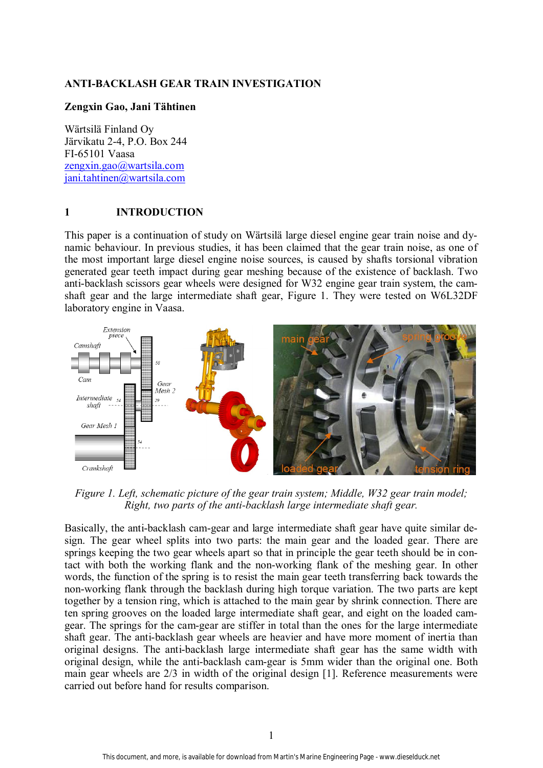### **ANTI-BACKLASH GEAR TRAIN INVESTIGATION**

#### **Zengxin Gao, Jani Tähtinen**

Wärtsilä Finland Oy Järvikatu 2-4, P.O. Box 244 FI-65101 Vaasa zengxin.gao@wartsila.com jani.tahtinen@wartsila.com

#### **1 INTRODUCTION**

This paper is a continuation of study on Wärtsilä large diesel engine gear train noise and dynamic behaviour. In previous studies, it has been claimed that the gear train noise, as one of the most important large diesel engine noise sources, is caused by shafts torsional vibration generated gear teeth impact during gear meshing because of the existence of backlash. Two anti-backlash scissors gear wheels were designed for W32 engine gear train system, the camshaft gear and the large intermediate shaft gear, Figure 1. They were tested on W6L32DF laboratory engine in Vaasa.



*Figure 1. Left, schematic picture of the gear train system; Middle, W32 gear train model; Right, two parts of the anti-backlash large intermediate shaft gear.* 

Basically, the anti-backlash cam-gear and large intermediate shaft gear have quite similar design. The gear wheel splits into two parts: the main gear and the loaded gear. There are springs keeping the two gear wheels apart so that in principle the gear teeth should be in contact with both the working flank and the non-working flank of the meshing gear. In other words, the function of the spring is to resist the main gear teeth transferring back towards the non-working flank through the backlash during high torque variation. The two parts are kept together by a tension ring, which is attached to the main gear by shrink connection. There are ten spring grooves on the loaded large intermediate shaft gear, and eight on the loaded camgear. The springs for the cam-gear are stiffer in total than the ones for the large intermediate shaft gear. The anti-backlash gear wheels are heavier and have more moment of inertia than original designs. The anti-backlash large intermediate shaft gear has the same width with original design, while the anti-backlash cam-gear is 5mm wider than the original one. Both main gear wheels are 2/3 in width of the original design [1]. Reference measurements were carried out before hand for results comparison.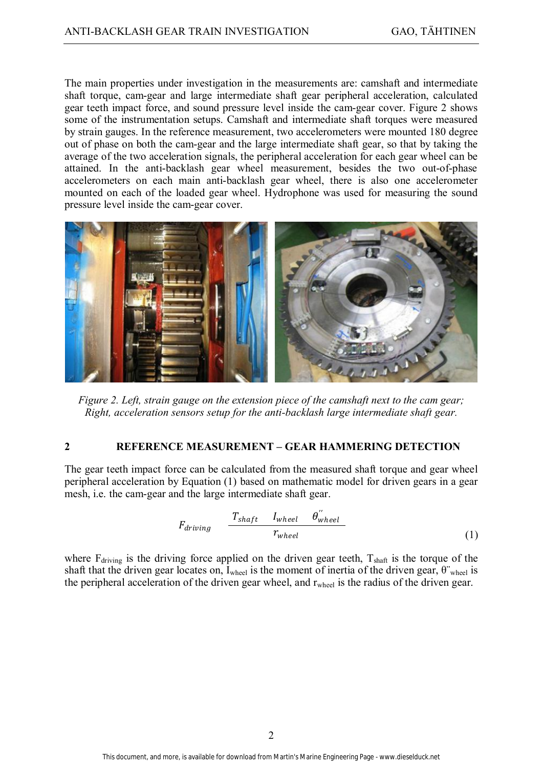The main properties under investigation in the measurements are: camshaft and intermediate shaft torque, cam-gear and large intermediate shaft gear peripheral acceleration, calculated gear teeth impact force, and sound pressure level inside the cam-gear cover. Figure 2 shows some of the instrumentation setups. Camshaft and intermediate shaft torques were measured by strain gauges. In the reference measurement, two accelerometers were mounted 180 degree out of phase on both the cam-gear and the large intermediate shaft gear, so that by taking the average of the two acceleration signals, the peripheral acceleration for each gear wheel can be attained. In the anti-backlash gear wheel measurement, besides the two out-of-phase accelerometers on each main anti-backlash gear wheel, there is also one accelerometer mounted on each of the loaded gear wheel. Hydrophone was used for measuring the sound pressure level inside the cam-gear cover.



*Figure 2. Left, strain gauge on the extension piece of the camshaft next to the cam gear; Right, acceleration sensors setup for the anti-backlash large intermediate shaft gear.* 

## **2 REFERENCE MEASUREMENT – GEAR HAMMERING DETECTION**

The gear teeth impact force can be calculated from the measured shaft torque and gear wheel peripheral acceleration by Equation (1) based on mathematic model for driven gears in a gear mesh, i.e. the cam-gear and the large intermediate shaft gear.

$$
F_{driving} \quad \frac{T_{shaff} \quad I_{wheel} \quad \theta_{wheel}^{"}}{r_{wheel}}
$$
\n
$$
(1)
$$

where  $F_{\text{driving}}$  is the driving force applied on the driven gear teeth,  $T_{\text{shaff}}$  is the torque of the shaft that the driven gear locates on, I<sub>wheel</sub> is the moment of inertia of the driven gear,  $\theta$ <sup>-</sup><sub>wheel</sub> is the peripheral acceleration of the driven gear wheel, and  $r_{wheel}$  is the radius of the driven gear.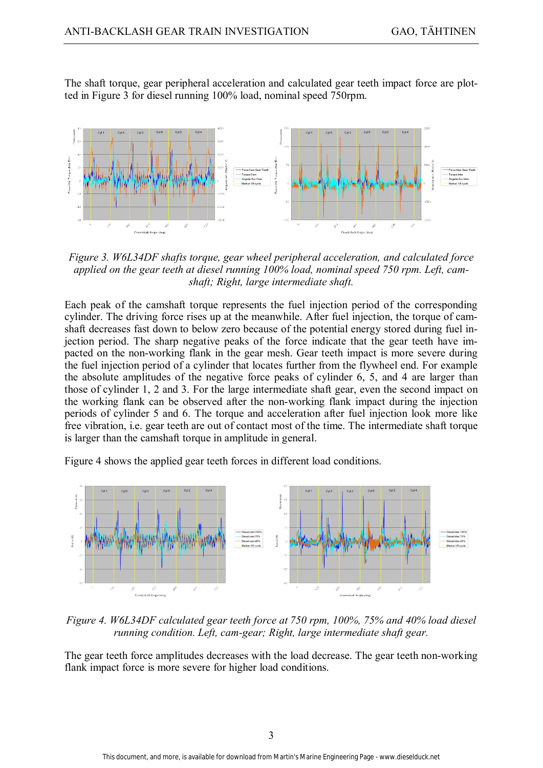The shaft torque, gear peripheral acceleration and calculated gear teeth impact force are plotted in Figure 3 for diesel running 100% load, nominal speed 750rpm.



*Figure 3. W6L34DF shafts torque, gear wheel peripheral acceleration, and calculated force applied on the gear teeth at diesel running 100% load, nominal speed 750 rpm. Left, camshaft; Right, large intermediate shaft.* 

Each peak of the camshaft torque represents the fuel injection period of the corresponding cylinder. The driving force rises up at the meanwhile. After fuel injection, the torque of camshaft decreases fast down to below zero because of the potential energy stored during fuel injection period. The sharp negative peaks of the force indicate that the gear teeth have impacted on the non-working flank in the gear mesh. Gear teeth impact is more severe during the fuel injection period of a cylinder that locates further from the flywheel end. For example the absolute amplitudes of the negative force peaks of cylinder 6, 5, and 4 are larger than those of cylinder 1, 2 and 3. For the large intermediate shaft gear, even the second impact on the working flank can be observed after the non-working flank impact during the injection periods of cylinder 5 and 6. The torque and acceleration after fuel injection look more like free vibration, i.e. gear teeth are out of contact most of the time. The intermediate shaft torque is larger than the camshaft torque in amplitude in general.

Figure 4 shows the applied gear teeth forces in different load conditions.



*Figure 4. W6L34DF calculated gear teeth force at 750 rpm, 100%, 75% and 40% load diesel running condition. Left, cam-gear; Right, large intermediate shaft gear.* 

The gear teeth force amplitudes decreases with the load decrease. The gear teeth non-working flank impact force is more severe for higher load conditions.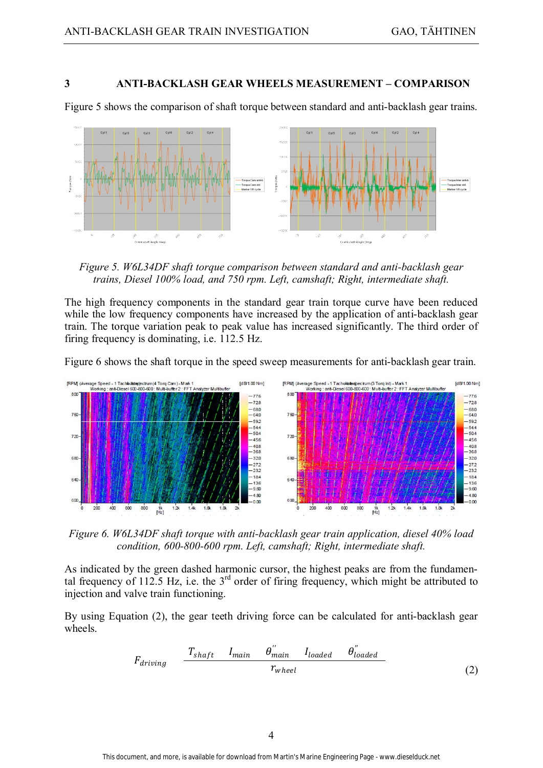### **3 ANTI-BACKLASH GEAR WHEELS MEASUREMENT – COMPARISON**

Figure 5 shows the comparison of shaft torque between standard and anti-backlash gear trains.



*Figure 5. W6L34DF shaft torque comparison between standard and anti-backlash gear trains, Diesel 100% load, and 750 rpm. Left, camshaft; Right, intermediate shaft.* 

The high frequency components in the standard gear train torque curve have been reduced while the low frequency components have increased by the application of anti-backlash gear train. The torque variation peak to peak value has increased significantly. The third order of firing frequency is dominating, i.e. 112.5 Hz.

Figure 6 shows the shaft torque in the speed sweep measurements for anti-backlash gear train.



*Figure 6. W6L34DF shaft torque with anti-backlash gear train application, diesel 40% load condition, 600-800-600 rpm. Left, camshaft; Right, intermediate shaft.* 

As indicated by the green dashed harmonic cursor, the highest peaks are from the fundamental frequency of 112.5 Hz, i.e. the  $3<sup>rd</sup>$  order of firing frequency, which might be attributed to injection and valve train functioning.

By using Equation (2), the gear teeth driving force can be calculated for anti-backlash gear wheels.

$$
F_{driving} \quad \frac{T_{shaff} \quad I_{main} \quad \theta^{''}_{main} \quad I_{loaded}}{r_{wheel}} \tag{2}
$$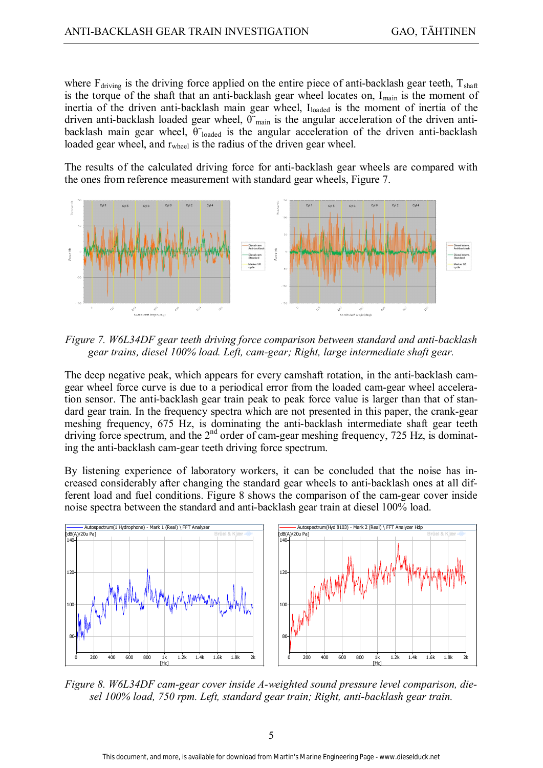where  $F_{\text{driving}}$  is the driving force applied on the entire piece of anti-backlash gear teeth,  $T_{\text{shaff}}$ is the torque of the shaft that an anti-backlash gear wheel locates on,  $I_{\text{main}}$  is the moment of inertia of the driven anti-backlash main gear wheel, Iloaded is the moment of inertia of the driven anti-backlash loaded gear wheel,  $\theta$ <sup>-</sup><sub>main</sub> is the angular acceleration of the driven antibacklash main gear wheel,  $\theta$  loaded is the angular acceleration of the driven anti-backlash loaded gear wheel, and r<sub>wheel</sub> is the radius of the driven gear wheel.

The results of the calculated driving force for anti-backlash gear wheels are compared with the ones from reference measurement with standard gear wheels, Figure 7.



*Figure 7. W6L34DF gear teeth driving force comparison between standard and anti-backlash gear trains, diesel 100% load. Left, cam-gear; Right, large intermediate shaft gear.* 

The deep negative peak, which appears for every camshaft rotation, in the anti-backlash camgear wheel force curve is due to a periodical error from the loaded cam-gear wheel acceleration sensor. The anti-backlash gear train peak to peak force value is larger than that of standard gear train. In the frequency spectra which are not presented in this paper, the crank-gear meshing frequency, 675 Hz, is dominating the anti-backlash intermediate shaft gear teeth driving force spectrum, and the  $2<sup>nd</sup>$  order of cam-gear meshing frequency, 725 Hz, is dominating the anti-backlash cam-gear teeth driving force spectrum.

By listening experience of laboratory workers, it can be concluded that the noise has increased considerably after changing the standard gear wheels to anti-backlash ones at all different load and fuel conditions. Figure 8 shows the comparison of the cam-gear cover inside noise spectra between the standard and anti-backlash gear train at diesel 100% load.



*Figure 8. W6L34DF cam-gear cover inside A-weighted sound pressure level comparison, diesel 100% load, 750 rpm. Left, standard gear train; Right, anti-backlash gear train.*